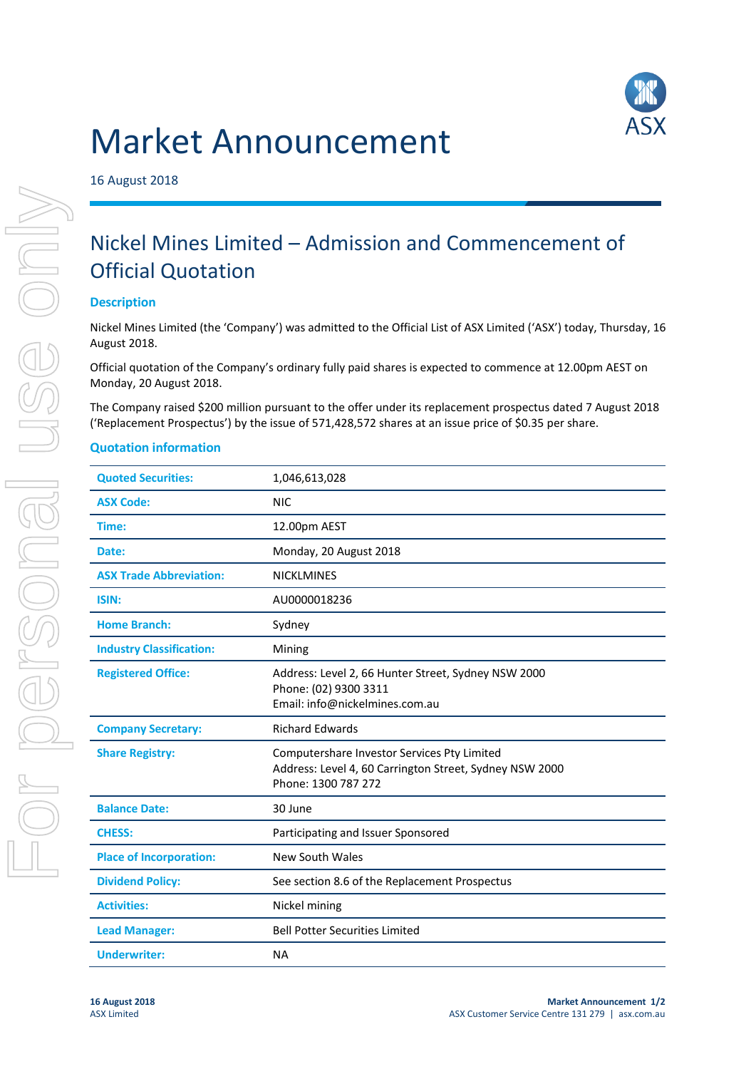## Market Announcement



16 August 2018

## Nickel Mines Limited – Admission and Commencement of Official Quotation

## **Description**

Nickel Mines Limited (the 'Company') was admitted to the Official List of ASX Limited ('ASX') today, Thursday, 16 August 2018.

Official quotation of the Company's ordinary fully paid shares is expected to commence at 12.00pm AEST on Monday, 20 August 2018.

The Company raised \$200 million pursuant to the offer under its replacement prospectus dated 7 August 2018 ('Replacement Prospectus') by the issue of 571,428,572 shares at an issue price of \$0.35 per share.

## **Quotation information**

| <b>Quoted Securities:</b>       | 1,046,613,028                                                                                                                 |  |
|---------------------------------|-------------------------------------------------------------------------------------------------------------------------------|--|
| <b>ASX Code:</b>                | <b>NIC</b>                                                                                                                    |  |
| Time:                           | 12.00pm AEST                                                                                                                  |  |
| Date:                           | Monday, 20 August 2018                                                                                                        |  |
| <b>ASX Trade Abbreviation:</b>  | <b>NICKLMINES</b>                                                                                                             |  |
| <b>ISIN:</b>                    | AU0000018236                                                                                                                  |  |
| <b>Home Branch:</b>             | Sydney                                                                                                                        |  |
| <b>Industry Classification:</b> | Mining                                                                                                                        |  |
| <b>Registered Office:</b>       | Address: Level 2, 66 Hunter Street, Sydney NSW 2000<br>Phone: (02) 9300 3311<br>Email: info@nickelmines.com.au                |  |
| <b>Company Secretary:</b>       | <b>Richard Edwards</b>                                                                                                        |  |
| <b>Share Registry:</b>          | Computershare Investor Services Pty Limited<br>Address: Level 4, 60 Carrington Street, Sydney NSW 2000<br>Phone: 1300 787 272 |  |
| <b>Balance Date:</b>            | 30 June                                                                                                                       |  |
| <b>CHESS:</b>                   | Participating and Issuer Sponsored                                                                                            |  |
| <b>Place of Incorporation:</b>  | <b>New South Wales</b>                                                                                                        |  |
| <b>Dividend Policy:</b>         | See section 8.6 of the Replacement Prospectus                                                                                 |  |
| <b>Activities:</b>              | Nickel mining                                                                                                                 |  |
| <b>Lead Manager:</b>            | <b>Bell Potter Securities Limited</b>                                                                                         |  |
| <b>Underwriter:</b>             | <b>NA</b>                                                                                                                     |  |